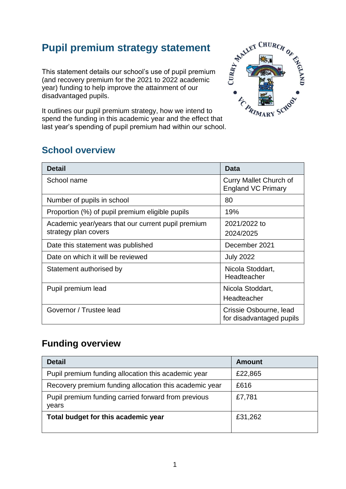## **Pupil premium strategy statement**

This statement details our school's use of pupil premium (and recovery premium for the 2021 to 2022 academic year) funding to help improve the attainment of our disadvantaged pupils.

It outlines our pupil premium strategy, how we intend to spend the funding in this academic year and the effect that last year's spending of pupil premium had within our school.



## **School overview**

| <b>Detail</b>                                                              | <b>Data</b>                                                |
|----------------------------------------------------------------------------|------------------------------------------------------------|
| School name                                                                | <b>Curry Mallet Church of</b><br><b>England VC Primary</b> |
| Number of pupils in school                                                 | 80                                                         |
| Proportion (%) of pupil premium eligible pupils                            | 19%                                                        |
| Academic year/years that our current pupil premium<br>strategy plan covers | 2021/2022 to<br>2024/2025                                  |
| Date this statement was published                                          | December 2021                                              |
| Date on which it will be reviewed                                          | <b>July 2022</b>                                           |
| Statement authorised by                                                    | Nicola Stoddart,<br>Headteacher                            |
| Pupil premium lead                                                         | Nicola Stoddart,<br>Headteacher                            |
| Governor / Trustee lead                                                    | Crissie Osbourne, lead<br>for disadvantaged pupils         |

## **Funding overview**

| <b>Detail</b>                                                | <b>Amount</b> |
|--------------------------------------------------------------|---------------|
| Pupil premium funding allocation this academic year          | £22,865       |
| Recovery premium funding allocation this academic year       | £616          |
| Pupil premium funding carried forward from previous<br>years | £7,781        |
| Total budget for this academic year                          | £31,262       |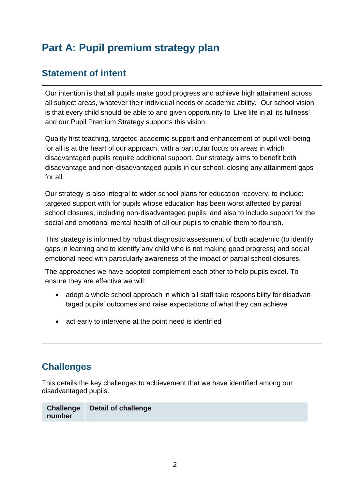# **Part A: Pupil premium strategy plan**

### **Statement of intent**

Our intention is that all pupils make good progress and achieve high attainment across all subject areas, whatever their individual needs or academic ability. Our school vision is that every child should be able to and given opportunity to 'Live life in all its fullness' and our Pupil Premium Strategy supports this vision.

Quality first teaching, targeted academic support and enhancement of pupil well-being for all is at the heart of our approach, with a particular focus on areas in which disadvantaged pupils require additional support. Our strategy aims to benefit both disadvantage and non-disadvantaged pupils in our school, closing any attainment gaps for all.

Our strategy is also integral to wider school plans for education recovery, to include: targeted support with for pupils whose education has been worst affected by partial school closures, including non-disadvantaged pupils; and also to include support for the social and emotional mental health of all our pupils to enable them to flourish.

This strategy is informed by robust diagnostic assessment of both academic (to identify gaps in learning and to identify any child who is not making good progress) and social emotional need with particularly awareness of the impact of partial school closures.

The approaches we have adopted complement each other to help pupils excel. To ensure they are effective we will:

- adopt a whole school approach in which all staff take responsibility for disadvantaged pupils' outcomes and raise expectations of what they can achieve
- act early to intervene at the point need is identified

## **Challenges**

This details the key challenges to achievement that we have identified among our disadvantaged pupils.

|        | Challenge   Detail of challenge |
|--------|---------------------------------|
| number |                                 |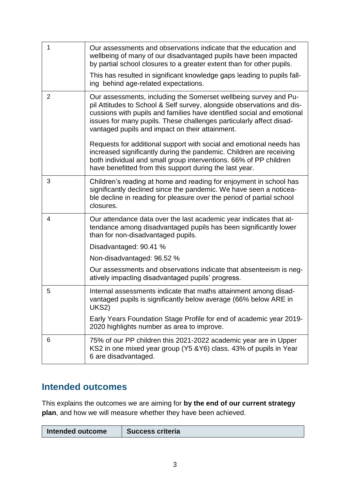| $\mathbf{1}$   | Our assessments and observations indicate that the education and<br>wellbeing of many of our disadvantaged pupils have been impacted<br>by partial school closures to a greater extent than for other pupils.                                                                                                                                  |
|----------------|------------------------------------------------------------------------------------------------------------------------------------------------------------------------------------------------------------------------------------------------------------------------------------------------------------------------------------------------|
|                | This has resulted in significant knowledge gaps leading to pupils fall-<br>ing behind age-related expectations.                                                                                                                                                                                                                                |
| $\overline{2}$ | Our assessments, including the Somerset wellbeing survey and Pu-<br>pil Attitudes to School & Self survey, alongside observations and dis-<br>cussions with pupils and families have identified social and emotional<br>issues for many pupils. These challenges particularly affect disad-<br>vantaged pupils and impact on their attainment. |
|                | Requests for additional support with social and emotional needs has<br>increased significantly during the pandemic. Children are receiving<br>both individual and small group interventions. 66% of PP children<br>have benefitted from this support during the last year.                                                                     |
| 3              | Children's reading at home and reading for enjoyment in school has<br>significantly declined since the pandemic. We have seen a noticea-<br>ble decline in reading for pleasure over the period of partial school<br>closures.                                                                                                                 |
| $\overline{4}$ | Our attendance data over the last academic year indicates that at-<br>tendance among disadvantaged pupils has been significantly lower<br>than for non-disadvantaged pupils.                                                                                                                                                                   |
|                | Disadvantaged: 90.41 %                                                                                                                                                                                                                                                                                                                         |
|                | Non-disadvantaged: 96.52 %                                                                                                                                                                                                                                                                                                                     |
|                | Our assessments and observations indicate that absenteeism is neg-<br>atively impacting disadvantaged pupils' progress.                                                                                                                                                                                                                        |
| 5              | Internal assessments indicate that maths attainment among disad-<br>vantaged pupils is significantly below average (66% below ARE in<br>UKS2)                                                                                                                                                                                                  |
|                | Early Years Foundation Stage Profile for end of academic year 2019-<br>2020 highlights number as area to improve.                                                                                                                                                                                                                              |
| 6              | 75% of our PP children this 2021-2022 academic year are in Upper<br>KS2 in one mixed year group (Y5 & Y6) class. 43% of pupils in Year<br>6 are disadvantaged.                                                                                                                                                                                 |

## **Intended outcomes**

This explains the outcomes we are aiming for **by the end of our current strategy plan**, and how we will measure whether they have been achieved.

| Intended outcome | <b>Success criteria</b> |
|------------------|-------------------------|
|------------------|-------------------------|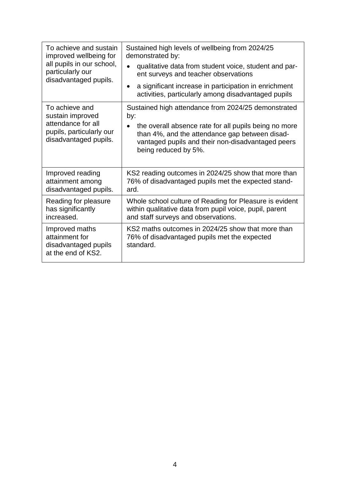| To achieve and sustain<br>improved wellbeing for<br>all pupils in our school,<br>particularly our<br>disadvantaged pupils. | Sustained high levels of wellbeing from 2024/25<br>demonstrated by:<br>qualitative data from student voice, student and par-<br>ent surveys and teacher observations<br>a significant increase in participation in enrichment<br>activities, particularly among disadvantaged pupils |
|----------------------------------------------------------------------------------------------------------------------------|--------------------------------------------------------------------------------------------------------------------------------------------------------------------------------------------------------------------------------------------------------------------------------------|
| To achieve and<br>sustain improved<br>attendance for all<br>pupils, particularly our<br>disadvantaged pupils.              | Sustained high attendance from 2024/25 demonstrated<br>by:<br>the overall absence rate for all pupils being no more<br>$\bullet$<br>than 4%, and the attendance gap between disad-<br>vantaged pupils and their non-disadvantaged peers<br>being reduced by 5%.                      |
| Improved reading<br>attainment among<br>disadvantaged pupils.                                                              | KS2 reading outcomes in 2024/25 show that more than<br>76% of disadvantaged pupils met the expected stand-<br>ard.                                                                                                                                                                   |
| Reading for pleasure<br>has significantly<br>increased.                                                                    | Whole school culture of Reading for Pleasure is evident<br>within qualitative data from pupil voice, pupil, parent<br>and staff surveys and observations.                                                                                                                            |
| Improved maths<br>attainment for<br>disadvantaged pupils<br>at the end of KS2.                                             | KS2 maths outcomes in 2024/25 show that more than<br>76% of disadvantaged pupils met the expected<br>standard.                                                                                                                                                                       |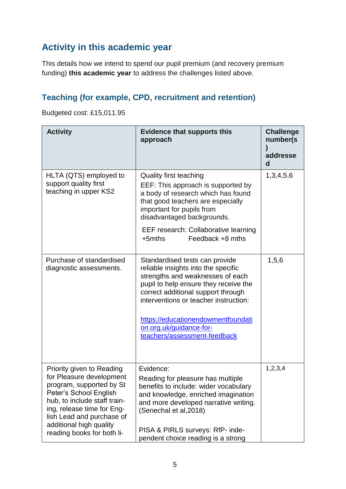## **Activity in this academic year**

This details how we intend to spend our pupil premium (and recovery premium funding) **this academic year** to address the challenges listed above.

#### **Teaching (for example, CPD, recruitment and retention)**

Budgeted cost: £15,011.95

| <b>Activity</b>                                                                                                                                                                                                                                                 | <b>Evidence that supports this</b><br>approach                                                                                                                                                                                                                                                                                     | <b>Challenge</b><br>number(s)<br>addresse<br>$\mathbf d$ |
|-----------------------------------------------------------------------------------------------------------------------------------------------------------------------------------------------------------------------------------------------------------------|------------------------------------------------------------------------------------------------------------------------------------------------------------------------------------------------------------------------------------------------------------------------------------------------------------------------------------|----------------------------------------------------------|
| HLTA (QTS) employed to<br>support quality first<br>teaching in upper KS2                                                                                                                                                                                        | Quality first teaching<br>EEF: This approach is supported by<br>a body of research which has found<br>that good teachers are especially<br>important for pupils from<br>disadvantaged backgrounds.<br>EEF research: Collaborative learning<br>$+5$ mths<br>Feedback +8 mths                                                        | 1,3,4,5,6                                                |
| Purchase of standardised<br>diagnostic assessments.                                                                                                                                                                                                             | Standardised tests can provide<br>reliable insights into the specific<br>strengths and weaknesses of each<br>pupil to help ensure they receive the<br>correct additional support through<br>interventions or teacher instruction:<br>https://educationendowmentfoundati<br>on.org.uk/guidance-for-<br>teachers/assessment-feedback | 1,5,6                                                    |
| Priority given to Reading<br>for Pleasure development<br>program, supported by St<br>Peter's School English<br>hub, to include staff train-<br>ing, release time for Eng-<br>lish Lead and purchase of<br>additional high quality<br>reading books for both li- | Evidence:<br>Reading for pleasure has multiple<br>benefits to include: wider vocabulary<br>and knowledge, enriched imagination<br>and more developed narrative writing.<br>(Senechal et al, 2018)<br>PISA & PIRLS surveys: RfP- inde-<br>pendent choice reading is a strong                                                        | 1,2,3,4                                                  |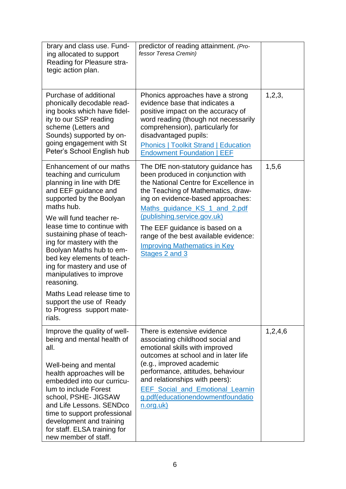| brary and class use. Fund-<br>ing allocated to support<br>Reading for Pleasure stra-<br>tegic action plan.                                                                                                                                                                                                                                                                                                                                                                                                 | predictor of reading attainment. (Pro-<br>fessor Teresa Cremin)                                                                                                                                                                                                                                                                                                                                 |         |
|------------------------------------------------------------------------------------------------------------------------------------------------------------------------------------------------------------------------------------------------------------------------------------------------------------------------------------------------------------------------------------------------------------------------------------------------------------------------------------------------------------|-------------------------------------------------------------------------------------------------------------------------------------------------------------------------------------------------------------------------------------------------------------------------------------------------------------------------------------------------------------------------------------------------|---------|
| Purchase of additional<br>phonically decodable read-<br>ing books which have fidel-<br>ity to our SSP reading<br>scheme (Letters and<br>Sounds) supported by on-<br>going engagement with St<br>Peter's School English hub                                                                                                                                                                                                                                                                                 | Phonics approaches have a strong<br>evidence base that indicates a<br>positive impact on the accuracy of<br>word reading (though not necessarily<br>comprehension), particularly for<br>disadvantaged pupils:<br><b>Phonics   Toolkit Strand   Education</b><br><b>Endowment Foundation   EEF</b>                                                                                               | 1,2,3,  |
| Enhancement of our maths<br>teaching and curriculum<br>planning in line with DfE<br>and EEF guidance and<br>supported by the Boolyan<br>maths hub.<br>We will fund teacher re-<br>lease time to continue with<br>sustaining phase of teach-<br>ing for mastery with the<br>Boolyan Maths hub to em-<br>bed key elements of teach-<br>ing for mastery and use of<br>manipulatives to improve<br>reasoning.<br>Maths Lead release time to<br>support the use of Ready<br>to Progress support mate-<br>rials. | The DfE non-statutory guidance has<br>been produced in conjunction with<br>the National Centre for Excellence in<br>the Teaching of Mathematics, draw-<br>ing on evidence-based approaches:<br>Maths guidance KS 1 and 2.pdf<br>(publishing.service.gov.uk)<br>The EEF guidance is based on a<br>range of the best available evidence:<br><b>Improving Mathematics in Key</b><br>Stages 2 and 3 | 1,5,6   |
| Improve the quality of well-<br>being and mental health of<br>all.<br>Well-being and mental<br>health approaches will be<br>embedded into our curricu-<br>lum to include Forest<br>school, PSHE- JIGSAW<br>and Life Lessons. SENDco<br>time to support professional<br>development and training<br>for staff. ELSA training for<br>new member of staff.                                                                                                                                                    | There is extensive evidence<br>associating childhood social and<br>emotional skills with improved<br>outcomes at school and in later life<br>(e.g., improved academic<br>performance, attitudes, behaviour<br>and relationships with peers):<br><b>EEF</b> Social and Emotional Learnin<br>g.pdf(educationendowmentfoundatio<br>n.org.uk)                                                       | 1,2,4,6 |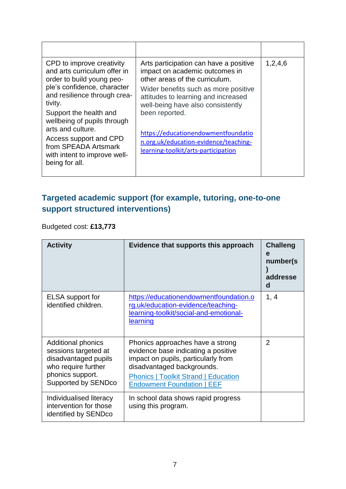| CPD to improve creativity<br>and arts curriculum offer in<br>order to build young peo-<br>ple's confidence, character<br>and resilience through crea-<br>tivity.<br>Support the health and<br>wellbeing of pupils through<br>arts and culture.<br>Access support and CPD<br>from SPEADA Artsmark<br>with intent to improve well-<br>being for all. | Arts participation can have a positive<br>impact on academic outcomes in<br>other areas of the curriculum.<br>Wider benefits such as more positive<br>attitudes to learning and increased<br>well-being have also consistently<br>been reported.<br>https://educationendowmentfoundatio<br>n.org.uk/education-evidence/teaching-<br>learning-toolkit/arts-participation | 1,2,4,6 |
|----------------------------------------------------------------------------------------------------------------------------------------------------------------------------------------------------------------------------------------------------------------------------------------------------------------------------------------------------|-------------------------------------------------------------------------------------------------------------------------------------------------------------------------------------------------------------------------------------------------------------------------------------------------------------------------------------------------------------------------|---------|

## **Targeted academic support (for example, tutoring, one-to-one support structured interventions)**

Budgeted cost: **£13,773**

| <b>Activity</b>                                                                                                                      | Evidence that supports this approach                                                                                                                                                                                             | <b>Challeng</b><br>e<br>number(s)<br>addresse<br>d |
|--------------------------------------------------------------------------------------------------------------------------------------|----------------------------------------------------------------------------------------------------------------------------------------------------------------------------------------------------------------------------------|----------------------------------------------------|
| ELSA support for<br>identified children.                                                                                             | https://educationendowmentfoundation.o<br>rg.uk/education-evidence/teaching-<br>learning-toolkit/social-and-emotional-<br><u>learning</u>                                                                                        | 1, 4                                               |
| Additional phonics<br>sessions targeted at<br>disadvantaged pupils<br>who require further<br>phonics support.<br>Supported by SENDco | Phonics approaches have a strong<br>evidence base indicating a positive<br>impact on pupils, particularly from<br>disadvantaged backgrounds.<br><b>Phonics   Toolkit Strand   Education</b><br><b>Endowment Foundation   EEF</b> | $\overline{2}$                                     |
| Individualised literacy<br>intervention for those<br>identified by SENDco                                                            | In school data shows rapid progress<br>using this program.                                                                                                                                                                       |                                                    |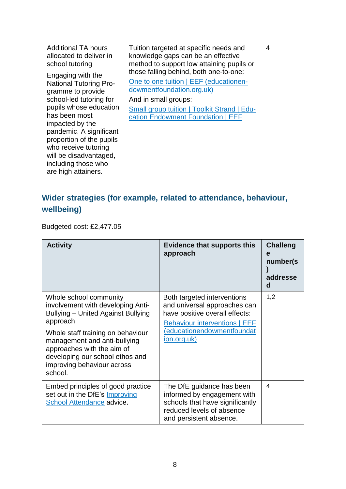| Engaging with the<br>One to one tuition   EEF (educationen-<br><b>National Tutoring Pro-</b><br>dowmentfoundation.org.uk)<br>gramme to provide<br>school-led tutoring for<br>And in small groups:<br>pupils whose education<br><b>Small group tuition   Toolkit Strand   Edu-</b><br>has been most<br>cation Endowment Foundation   EEF<br>impacted by the<br>pandemic. A significant<br>proportion of the pupils<br>who receive tutoring<br>will be disadvantaged,<br>including those who | <b>Additional TA hours</b><br>allocated to deliver in<br>school tutoring | Tuition targeted at specific needs and<br>knowledge gaps can be an effective<br>method to support low attaining pupils or | 4 |
|--------------------------------------------------------------------------------------------------------------------------------------------------------------------------------------------------------------------------------------------------------------------------------------------------------------------------------------------------------------------------------------------------------------------------------------------------------------------------------------------|--------------------------------------------------------------------------|---------------------------------------------------------------------------------------------------------------------------|---|
|                                                                                                                                                                                                                                                                                                                                                                                                                                                                                            | are high attainers.                                                      | those falling behind, both one-to-one:                                                                                    |   |

## **Wider strategies (for example, related to attendance, behaviour, wellbeing)**

Budgeted cost: £2,477.05

| <b>Activity</b>                                                                                                                                                                                                                                                                                     | <b>Evidence that supports this</b><br>approach                                                                                                                                           | <b>Challeng</b><br>e<br>number(s)<br>addresse<br>d |
|-----------------------------------------------------------------------------------------------------------------------------------------------------------------------------------------------------------------------------------------------------------------------------------------------------|------------------------------------------------------------------------------------------------------------------------------------------------------------------------------------------|----------------------------------------------------|
| Whole school community<br>involvement with developing Anti-<br><b>Bullying – United Against Bullying</b><br>approach<br>Whole staff training on behaviour<br>management and anti-bullying<br>approaches with the aim of<br>developing our school ethos and<br>improving behaviour across<br>school. | Both targeted interventions<br>and universal approaches can<br>have positive overall effects:<br><b>Behaviour interventions   EEF</b><br>educationendowmentfoundat<br><u>ion.org.uk)</u> | 1,2                                                |
| Embed principles of good practice<br>set out in the DfE's Improving<br>School Attendance advice.                                                                                                                                                                                                    | The DfE guidance has been<br>informed by engagement with<br>schools that have significantly<br>reduced levels of absence<br>and persistent absence.                                      | 4                                                  |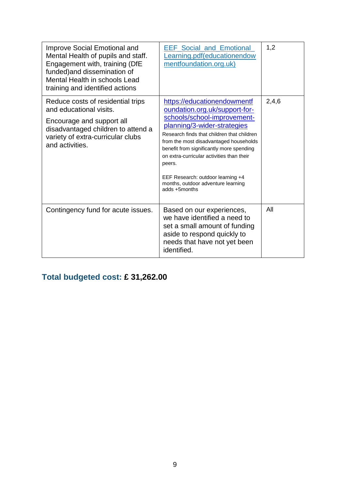| <b>Improve Social Emotional and</b><br>Mental Health of pupils and staff.<br>Engagement with, training (DfE<br>funded) and dissemination of<br>Mental Health in schools Lead<br>training and identified actions | <b>EEF Social and Emotional</b><br>Learning.pdf(educationendow<br>mentfoundation.org.uk)                                                                                                                                                                                                                                                                                                                          | 1,2   |
|-----------------------------------------------------------------------------------------------------------------------------------------------------------------------------------------------------------------|-------------------------------------------------------------------------------------------------------------------------------------------------------------------------------------------------------------------------------------------------------------------------------------------------------------------------------------------------------------------------------------------------------------------|-------|
| Reduce costs of residential trips<br>and educational visits.<br>Encourage and support all<br>disadvantaged children to attend a<br>variety of extra-curricular clubs<br>and activities.                         | https://educationendowmentf<br>oundation.org.uk/support-for-<br>schools/school-improvement-<br>planning/3-wider-strategies<br>Research finds that children that children<br>from the most disadvantaged households<br>benefit from significantly more spending<br>on extra-curricular activities than their<br>peers.<br>EEF Research: outdoor learning +4<br>months, outdoor adventure learning<br>adds +5months | 2,4,6 |
| Contingency fund for acute issues.                                                                                                                                                                              | Based on our experiences,<br>we have identified a need to<br>set a small amount of funding<br>aside to respond quickly to<br>needs that have not yet been<br>identified.                                                                                                                                                                                                                                          | All   |

## **Total budgeted cost: £ 31,262.00**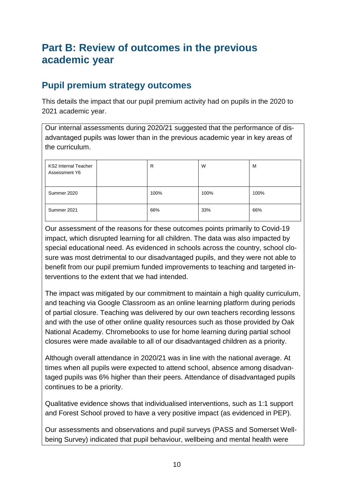## **Part B: Review of outcomes in the previous academic year**

### **Pupil premium strategy outcomes**

This details the impact that our pupil premium activity had on pupils in the 2020 to 2021 academic year.

Our internal assessments during 2020/21 suggested that the performance of disadvantaged pupils was lower than in the previous academic year in key areas of the curriculum.

| <b>KS2 Internal Teacher</b><br>Assessment Y6 | R    | W    | м    |
|----------------------------------------------|------|------|------|
| Summer 2020                                  | 100% | 100% | 100% |
| Summer 2021                                  | 66%  | 33%  | 66%  |

Our assessment of the reasons for these outcomes points primarily to Covid-19 impact, which disrupted learning for all children. The data was also impacted by special educational need. As evidenced in schools across the country, school closure was most detrimental to our disadvantaged pupils, and they were not able to benefit from our pupil premium funded improvements to teaching and targeted interventions to the extent that we had intended.

The impact was mitigated by our commitment to maintain a high quality curriculum, and teaching via Google Classroom as an online learning platform during periods of partial closure. Teaching was delivered by our own teachers recording lessons and with the use of other online quality resources such as those provided by Oak National Academy. Chromebooks to use for home learning during partial school closures were made available to all of our disadvantaged children as a priority.

Although overall attendance in 2020/21 was in line with the national average. At times when all pupils were expected to attend school, absence among disadvantaged pupils was 6% higher than their peers. Attendance of disadvantaged pupils continues to be a priority.

Qualitative evidence shows that individualised interventions, such as 1:1 support and Forest School proved to have a very positive impact (as evidenced in PEP).

Our assessments and observations and pupil surveys (PASS and Somerset Wellbeing Survey) indicated that pupil behaviour, wellbeing and mental health were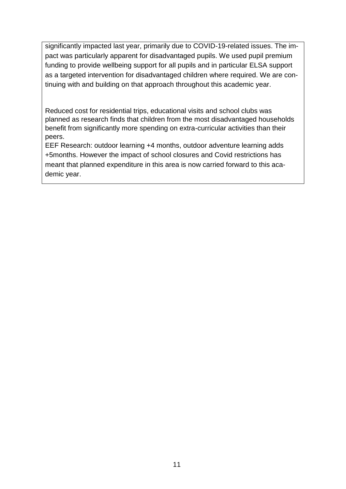significantly impacted last year, primarily due to COVID-19-related issues. The impact was particularly apparent for disadvantaged pupils. We used pupil premium funding to provide wellbeing support for all pupils and in particular ELSA support as a targeted intervention for disadvantaged children where required. We are continuing with and building on that approach throughout this academic year.

Reduced cost for residential trips, educational visits and school clubs was planned as research finds that children from the most disadvantaged households benefit from significantly more spending on extra-curricular activities than their peers.

EEF Research: outdoor learning +4 months, outdoor adventure learning adds +5months. However the impact of school closures and Covid restrictions has meant that planned expenditure in this area is now carried forward to this academic year.